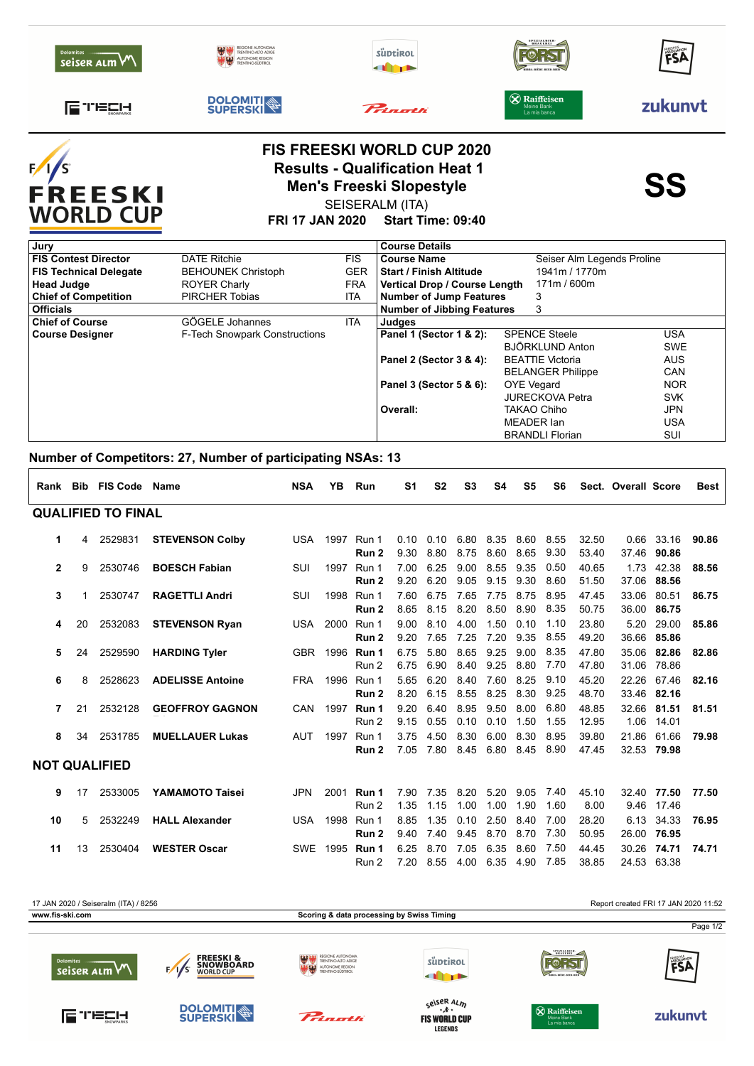| <b>Dolomites</b><br>seiser alm VV         |                     | RENTINO-ALTO ADIG<br>N <mark>JTONOME REGION</mark><br>RENTINO-SÜDTIROL | süptirol<br><b>All TP</b>                                                                                                                             | <b>SPEZIALBIER</b><br><b>BRAUEREI</b> | FSA       |  |  |
|-------------------------------------------|---------------------|------------------------------------------------------------------------|-------------------------------------------------------------------------------------------------------------------------------------------------------|---------------------------------------|-----------|--|--|
| <b>IE TEER</b>                            | <b>DOLOMITI</b>     | Princetti                                                              | $\otimes$ Raiffeisen<br>Meine Bank<br>La mia banca                                                                                                    | zukunvt                               |           |  |  |
| F/I<br><b>FREESKI</b><br><b>WORLD CUP</b> |                     | <b>FRI 17 JAN 2020</b>                                                 | <b>FIS FREESKI WORLD CUP 2020</b><br><b>Results - Qualification Heat 1</b><br><b>Men's Freeski Slopestyle</b><br>SEISERALM (ITA)<br>Start Time: 09:40 |                                       | <b>SS</b> |  |  |
| Jury                                      |                     |                                                                        | <b>Course Details</b>                                                                                                                                 |                                       |           |  |  |
| <b>FIS Contest Director</b>               | <b>DATE Ritchie</b> | <b>FIS</b>                                                             | <b>Course Name</b>                                                                                                                                    | Seiser Alm Legends Proline            |           |  |  |

| <b>FIS Technical Delegate</b> | <b>BEHOUNEK Christoph</b>            | <b>GER</b> | <b>Start / Finish Altitude</b>    | 1941m / 1770m            |            |
|-------------------------------|--------------------------------------|------------|-----------------------------------|--------------------------|------------|
| <b>Head Judge</b>             | <b>ROYER Charly</b>                  | <b>FRA</b> | Vertical Drop / Course Length     | 171m / 600m              |            |
| <b>Chief of Competition</b>   | <b>PIRCHER Tobias</b>                | <b>ITA</b> | <b>Number of Jump Features</b>    |                          |            |
| <b>Officials</b>              |                                      |            | <b>Number of Jibbing Features</b> |                          |            |
| <b>Chief of Course</b>        | GÖGELE Johannes                      | ITA        | Judges                            |                          |            |
| <b>Course Designer</b>        | <b>F-Tech Snowpark Constructions</b> |            | Panel 1 (Sector 1 & 2):           | <b>SPENCE Steele</b>     | <b>USA</b> |
|                               |                                      |            |                                   | BJÖRKLUND Anton          | <b>SWE</b> |
|                               |                                      |            | Panel 2 (Sector 3 & 4):           | <b>BEATTIE Victoria</b>  | <b>AUS</b> |
|                               |                                      |            |                                   | <b>BELANGER Philippe</b> | <b>CAN</b> |
|                               |                                      |            | Panel 3 (Sector 5 & 6):           | <b>OYE</b> Vegard        | <b>NOR</b> |
|                               |                                      |            |                                   | <b>JURECKOVA Petra</b>   | <b>SVK</b> |
|                               |                                      |            | Overall:                          | TAKAO Chiho              | <b>JPN</b> |
|                               |                                      |            |                                   | MEADER Ian               | USA        |
|                               |                                      |            |                                   | <b>BRANDLI Florian</b>   | SUI        |
|                               |                                      |            |                                   |                          |            |

## **Number of Competitors: 27, Number of participating NSAs: 13**

|                           |    | Rank Bib FIS Code Name |                         | <b>NSA</b> | YB.  | Run                                | S <sub>1</sub> | S <sub>2</sub> | S <sub>3</sub> | S4           | S <sub>5</sub> | S6           |                | Sect. Overall Score |                            | Best  |
|---------------------------|----|------------------------|-------------------------|------------|------|------------------------------------|----------------|----------------|----------------|--------------|----------------|--------------|----------------|---------------------|----------------------------|-------|
| <b>QUALIFIED TO FINAL</b> |    |                        |                         |            |      |                                    |                |                |                |              |                |              |                |                     |                            |       |
| 1                         | 4  | 2529831                | <b>STEVENSON Colby</b>  | USA        |      | 1997 Run 1<br>Run 2                | 0.10<br>9.30   | 0.10<br>8.80   | 6.80<br>8.75   | 8.35<br>8.60 | 8.60<br>8.65   | 8.55<br>9.30 | 32.50<br>53.40 | 0.66<br>37.46       | 33.16<br>90.86             | 90.86 |
| $\mathbf{2}$              | 9  | 2530746                | <b>BOESCH Fabian</b>    | SUI        | 1997 | Run 1<br>Run 2                     | 7.00<br>9.20   | 6.25<br>6.20   | 9.00<br>9.05   | 8.55<br>9.15 | 9.35<br>9.30   | 0.50<br>8.60 | 40.65<br>51.50 | 1.73                | 42.38<br>37.06 88.56       | 88.56 |
| 3                         |    | 2530747                | <b>RAGETTLI Andri</b>   | SUI        |      | 1998 Run 1<br>Run 2                | 7.60<br>8.65   | 6.75<br>8.15   | 7.65<br>8.20   | 7.75<br>8.50 | 8.75<br>8.90   | 8.95<br>8.35 | 47.45<br>50.75 | 33.06               | 80.51<br>36.00 86.75       | 86.75 |
| 4                         | 20 | 2532083                | <b>STEVENSON Ryan</b>   |            |      | USA 2000 Run 1<br>Run <sub>2</sub> | 9.00<br>9.20   | 8.10<br>7.65   | 4.00<br>7.25   | 1.50<br>7.20 | 0.10<br>9.35   | 1.10<br>8.55 | 23.80<br>49.20 | 5.20                | 29.00<br>36.66 85.86       | 85.86 |
| 5                         | 24 | 2529590                | <b>HARDING Tyler</b>    | GBR        |      | 1996 <b>Run 1</b><br>Run 2         | 6.75<br>6.75   | 5.80<br>6.90   | 8.65<br>8.40   | 9.25<br>9.25 | 9.00<br>8.80   | 8.35<br>7.70 | 47.80<br>47.80 | 35.06               | 82.86<br>31.06 78.86       | 82.86 |
| 6                         | 8  | 2528623                | <b>ADELISSE Antoine</b> | <b>FRA</b> | 1996 | Run 1<br>Run 2                     | 5.65<br>8.20   | 6.20<br>6.15   | 8.40<br>8.55   | 7.60<br>8.25 | 8.25<br>8.30   | 9.10<br>9.25 | 45.20<br>48.70 |                     | 22.26 67.46<br>33.46 82.16 | 82.16 |
| 7                         | 21 | 2532128                | <b>GEOFFROY GAGNON</b>  | <b>CAN</b> |      | 1997 Run 1<br>Run 2                | 9.20<br>9.15   | 6.40<br>0.55   | 8.95<br>0.10   | 9.50<br>0.10 | 8.00<br>1.50   | 6.80<br>1.55 | 48.85<br>12.95 |                     | 32.66 81.51<br>1.06 14.01  | 81.51 |
| 8                         | 34 | 2531785                | <b>MUELLAUER Lukas</b>  | <b>AUT</b> | 1997 | Run 1<br>Run 2                     | 3.75<br>7.05   | 4.50<br>7.80   | 8.30<br>8.45   | 6.00<br>6.80 | 8.30<br>8.45   | 8.95<br>8.90 | 39.80<br>47.45 | 21.86               | 61.66<br>32.53 79.98       | 79.98 |
| <b>NOT QUALIFIED</b>      |    |                        |                         |            |      |                                    |                |                |                |              |                |              |                |                     |                            |       |
| 9                         | 17 | 2533005                | YAMAMOTO Taisei         | <b>JPN</b> | 2001 | Run 1<br>Run 2                     | 7.90<br>1.35   | 7.35<br>1.15   | 8.20<br>1.00   | 5.20<br>1.00 | 9.05<br>1.90   | 7.40<br>1.60 | 45.10<br>8.00  | 32.40               | 77.50<br>9.46 17.46        | 77.50 |
| 10                        | 5  | 2532249                | <b>HALL Alexander</b>   | <b>USA</b> | 1998 | Run 1<br>Run 2                     | 8.85<br>9.40   | 1.35<br>7.40   | 0.10<br>9.45   | 2.50<br>8.70 | 8.40<br>8.70   | 7.00<br>7.30 | 28.20<br>50.95 | 6.13                | 34.33<br>26.00 76.95       | 76.95 |
| 11                        | 13 | 2530404                | <b>WESTER Oscar</b>     | SWE        | 1995 | Run 1<br>Run 2                     | 6.25<br>7.20   | 8.70<br>8.55   | 7.05<br>4.00   | 6.35<br>6.35 | 8.60<br>4.90   | 7.50<br>7.85 | 44.45<br>38.85 |                     | 30.26 74.71<br>24.53 63.38 | 74.71 |

| 17 JAN 2020 / Seiseralm (ITA) / 8256       |                                                                       |                                                                           |                                           |                                                   | Report created FRI 17 JAN 2020 11:52 |
|--------------------------------------------|-----------------------------------------------------------------------|---------------------------------------------------------------------------|-------------------------------------------|---------------------------------------------------|--------------------------------------|
| www.fis-ski.com                            |                                                                       | Scoring & data processing by Swiss Timing                                 |                                           |                                                   | Page 1/2                             |
| <b>Dolomites</b><br>$seisen$ $\mathcal{M}$ | <b>FREESKI &amp;</b><br><b>SNOWBOARD</b><br>F/1/S<br><b>WORLD CUP</b> | REGIONE AUTONOMA<br>TRENTINO-ALTO ADIGE<br><b>AN EXAM</b> AUTONOME REGION | süptirol<br><b>THE</b>                    | SPEZIALBIER-<br><b>ERRA BITRE BELR BITR</b>       | FSA                                  |
| /TECH.<br><b>SNOWPARKS</b>                 | <b>DOLOMITI</b>                                                       | Princetti                                                                 | seiser ALM<br>大麦大<br><b>FIS WORLD CUP</b> | <b>X</b> Raiffeisen<br>Meine Bank<br>La mia banca | zukunyt                              |

**LEGENDS**